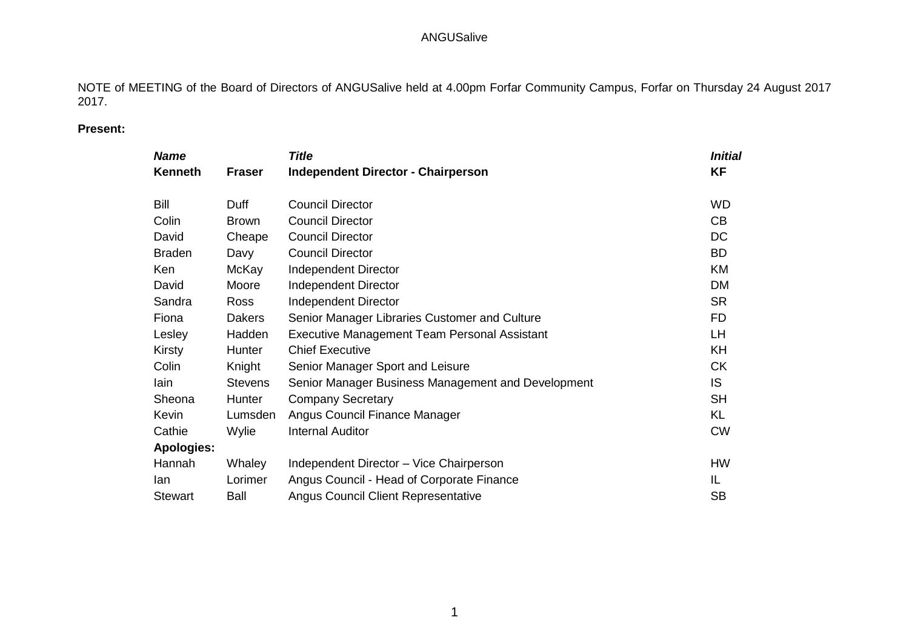NOTE of MEETING of the Board of Directors of ANGUSalive held at 4.00pm Forfar Community Campus, Forfar on Thursday 24 August 2017 2017.

## **Present:**

| <b>Name</b>       |                | <b>Title</b>                                        | Initial   |
|-------------------|----------------|-----------------------------------------------------|-----------|
| Kenneth           | <b>Fraser</b>  | <b>Independent Director - Chairperson</b>           | <b>KF</b> |
| <b>Bill</b>       | Duff           | <b>Council Director</b>                             | <b>WD</b> |
| Colin             | <b>Brown</b>   | <b>Council Director</b>                             | CB        |
| David             | Cheape         | <b>Council Director</b>                             | DC        |
| <b>Braden</b>     | Davy           | <b>Council Director</b>                             | <b>BD</b> |
| Ken               | McKay          | Independent Director                                | KM        |
| David             | Moore          | Independent Director                                | <b>DM</b> |
| Sandra            | Ross           | <b>Independent Director</b>                         | <b>SR</b> |
| Fiona             | <b>Dakers</b>  | Senior Manager Libraries Customer and Culture       | <b>FD</b> |
| Lesley            | Hadden         | <b>Executive Management Team Personal Assistant</b> | LH        |
| Kirsty            | Hunter         | <b>Chief Executive</b>                              | <b>KH</b> |
| Colin             | Knight         | Senior Manager Sport and Leisure                    | <b>CK</b> |
| lain              | <b>Stevens</b> | Senior Manager Business Management and Development  | IS.       |
| Sheona            | Hunter         | <b>Company Secretary</b>                            | <b>SH</b> |
| Kevin             | Lumsden        | Angus Council Finance Manager                       | KL        |
| Cathie            | Wylie          | <b>Internal Auditor</b>                             | <b>CW</b> |
| <b>Apologies:</b> |                |                                                     |           |
| Hannah            | Whaley         | Independent Director - Vice Chairperson             | <b>HW</b> |
| lan               | Lorimer        | Angus Council - Head of Corporate Finance           | IL        |
| <b>Stewart</b>    | Ball           | <b>Angus Council Client Representative</b>          | <b>SB</b> |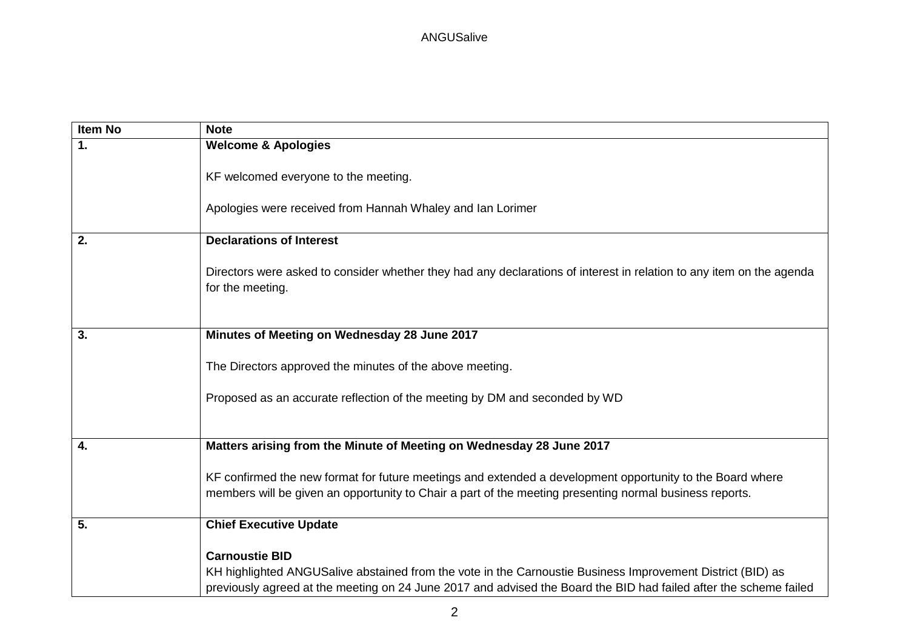| <b>Item No</b> | <b>Note</b>                                                                                                                                                                                                                                              |
|----------------|----------------------------------------------------------------------------------------------------------------------------------------------------------------------------------------------------------------------------------------------------------|
| 1.             | <b>Welcome &amp; Apologies</b>                                                                                                                                                                                                                           |
|                | KF welcomed everyone to the meeting.                                                                                                                                                                                                                     |
|                | Apologies were received from Hannah Whaley and Ian Lorimer                                                                                                                                                                                               |
| 2.             | <b>Declarations of Interest</b>                                                                                                                                                                                                                          |
|                | Directors were asked to consider whether they had any declarations of interest in relation to any item on the agenda<br>for the meeting.                                                                                                                 |
| 3.             | Minutes of Meeting on Wednesday 28 June 2017                                                                                                                                                                                                             |
|                | The Directors approved the minutes of the above meeting.<br>Proposed as an accurate reflection of the meeting by DM and seconded by WD                                                                                                                   |
| 4.             | Matters arising from the Minute of Meeting on Wednesday 28 June 2017                                                                                                                                                                                     |
|                |                                                                                                                                                                                                                                                          |
|                | KF confirmed the new format for future meetings and extended a development opportunity to the Board where<br>members will be given an opportunity to Chair a part of the meeting presenting normal business reports.                                     |
| 5.             | <b>Chief Executive Update</b>                                                                                                                                                                                                                            |
|                | <b>Carnoustie BID</b><br>KH highlighted ANGUSalive abstained from the vote in the Carnoustie Business Improvement District (BID) as<br>previously agreed at the meeting on 24 June 2017 and advised the Board the BID had failed after the scheme failed |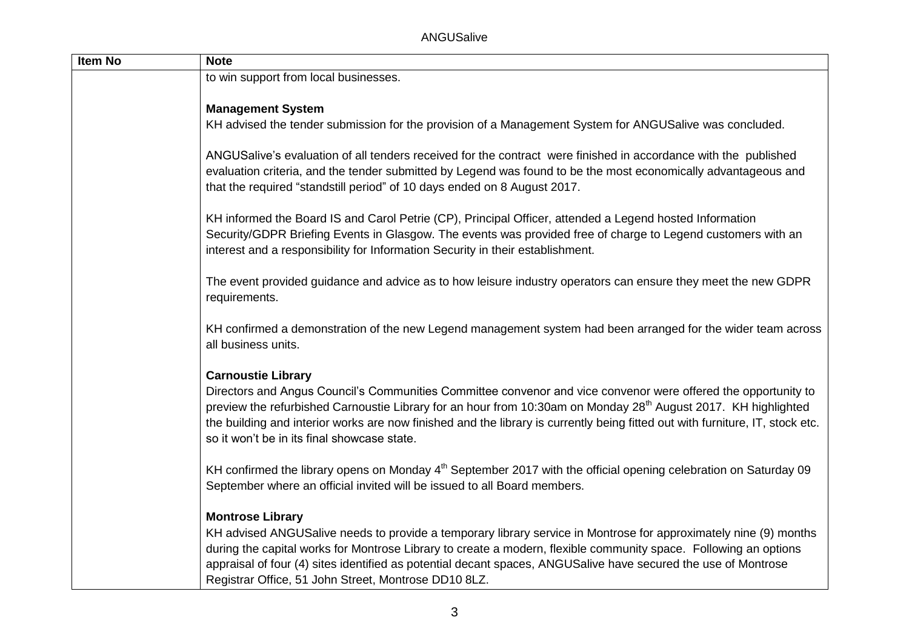ANGUSalive

| <b>Item No</b> | <b>Note</b>                                                                                                                                                                                                                                                                                                                                                                                                                                               |
|----------------|-----------------------------------------------------------------------------------------------------------------------------------------------------------------------------------------------------------------------------------------------------------------------------------------------------------------------------------------------------------------------------------------------------------------------------------------------------------|
|                | to win support from local businesses.                                                                                                                                                                                                                                                                                                                                                                                                                     |
|                |                                                                                                                                                                                                                                                                                                                                                                                                                                                           |
|                | <b>Management System</b>                                                                                                                                                                                                                                                                                                                                                                                                                                  |
|                | KH advised the tender submission for the provision of a Management System for ANGUSalive was concluded.                                                                                                                                                                                                                                                                                                                                                   |
|                | ANGUSalive's evaluation of all tenders received for the contract were finished in accordance with the published<br>evaluation criteria, and the tender submitted by Legend was found to be the most economically advantageous and<br>that the required "standstill period" of 10 days ended on 8 August 2017.                                                                                                                                             |
|                | KH informed the Board IS and Carol Petrie (CP), Principal Officer, attended a Legend hosted Information<br>Security/GDPR Briefing Events in Glasgow. The events was provided free of charge to Legend customers with an<br>interest and a responsibility for Information Security in their establishment.                                                                                                                                                 |
|                | The event provided guidance and advice as to how leisure industry operators can ensure they meet the new GDPR<br>requirements.                                                                                                                                                                                                                                                                                                                            |
|                | KH confirmed a demonstration of the new Legend management system had been arranged for the wider team across<br>all business units.                                                                                                                                                                                                                                                                                                                       |
|                | <b>Carnoustie Library</b><br>Directors and Angus Council's Communities Committee convenor and vice convenor were offered the opportunity to<br>preview the refurbished Carnoustie Library for an hour from 10:30am on Monday 28 <sup>th</sup> August 2017. KH highlighted<br>the building and interior works are now finished and the library is currently being fitted out with furniture, IT, stock etc.<br>so it won't be in its final showcase state. |
|                | KH confirmed the library opens on Monday 4 <sup>th</sup> September 2017 with the official opening celebration on Saturday 09<br>September where an official invited will be issued to all Board members.                                                                                                                                                                                                                                                  |
|                | <b>Montrose Library</b><br>KH advised ANGUSalive needs to provide a temporary library service in Montrose for approximately nine (9) months<br>during the capital works for Montrose Library to create a modern, flexible community space. Following an options<br>appraisal of four (4) sites identified as potential decant spaces, ANGUSalive have secured the use of Montrose                                                                         |
|                | Registrar Office, 51 John Street, Montrose DD10 8LZ.                                                                                                                                                                                                                                                                                                                                                                                                      |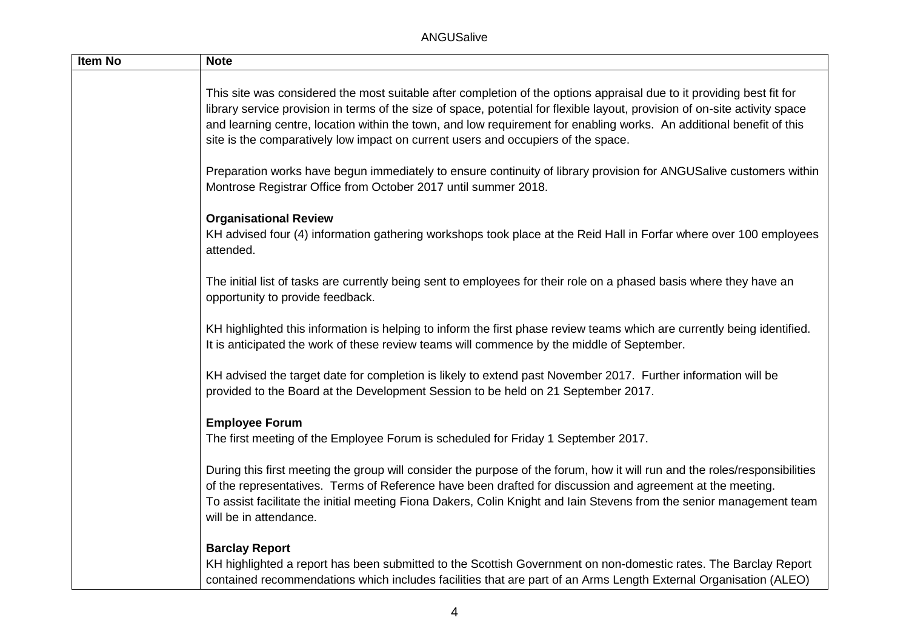| Item No | <b>Note</b>                                                                                                                                                                                                                                                                                                                                                                                                                                                       |
|---------|-------------------------------------------------------------------------------------------------------------------------------------------------------------------------------------------------------------------------------------------------------------------------------------------------------------------------------------------------------------------------------------------------------------------------------------------------------------------|
|         | This site was considered the most suitable after completion of the options appraisal due to it providing best fit for<br>library service provision in terms of the size of space, potential for flexible layout, provision of on-site activity space<br>and learning centre, location within the town, and low requirement for enabling works. An additional benefit of this<br>site is the comparatively low impact on current users and occupiers of the space. |
|         | Preparation works have begun immediately to ensure continuity of library provision for ANGUSalive customers within<br>Montrose Registrar Office from October 2017 until summer 2018.                                                                                                                                                                                                                                                                              |
|         | <b>Organisational Review</b><br>KH advised four (4) information gathering workshops took place at the Reid Hall in Forfar where over 100 employees<br>attended.                                                                                                                                                                                                                                                                                                   |
|         | The initial list of tasks are currently being sent to employees for their role on a phased basis where they have an<br>opportunity to provide feedback.                                                                                                                                                                                                                                                                                                           |
|         | KH highlighted this information is helping to inform the first phase review teams which are currently being identified.<br>It is anticipated the work of these review teams will commence by the middle of September.                                                                                                                                                                                                                                             |
|         | KH advised the target date for completion is likely to extend past November 2017. Further information will be<br>provided to the Board at the Development Session to be held on 21 September 2017.                                                                                                                                                                                                                                                                |
|         | <b>Employee Forum</b><br>The first meeting of the Employee Forum is scheduled for Friday 1 September 2017.                                                                                                                                                                                                                                                                                                                                                        |
|         | During this first meeting the group will consider the purpose of the forum, how it will run and the roles/responsibilities<br>of the representatives. Terms of Reference have been drafted for discussion and agreement at the meeting.<br>To assist facilitate the initial meeting Fiona Dakers, Colin Knight and lain Stevens from the senior management team<br>will be in attendance.                                                                         |
|         | <b>Barclay Report</b><br>KH highlighted a report has been submitted to the Scottish Government on non-domestic rates. The Barclay Report<br>contained recommendations which includes facilities that are part of an Arms Length External Organisation (ALEO)                                                                                                                                                                                                      |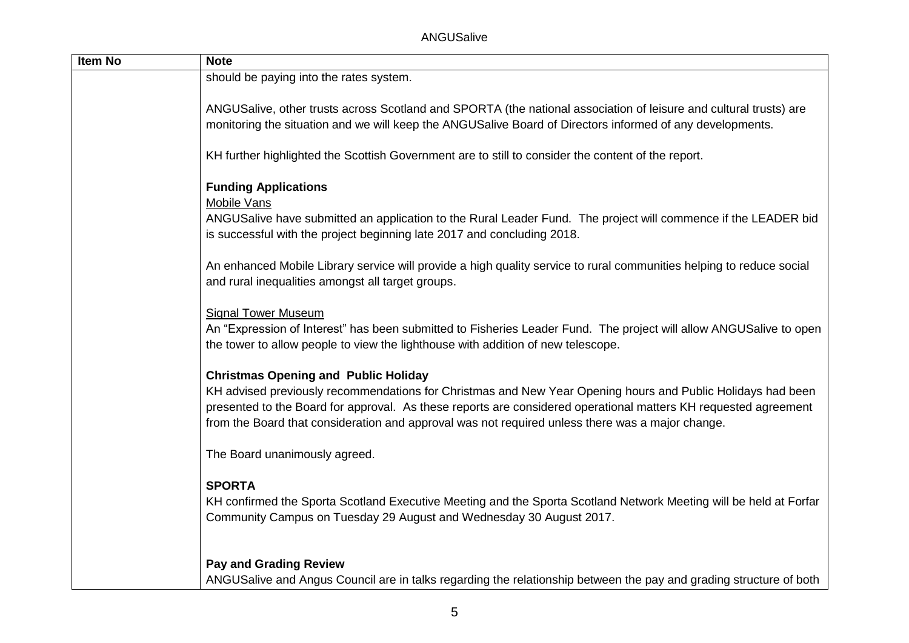ANGUSalive

| Item No | <b>Note</b>                                                                                                                                                                                                                                                                                                                                                                       |
|---------|-----------------------------------------------------------------------------------------------------------------------------------------------------------------------------------------------------------------------------------------------------------------------------------------------------------------------------------------------------------------------------------|
|         | should be paying into the rates system.                                                                                                                                                                                                                                                                                                                                           |
|         | ANGUSalive, other trusts across Scotland and SPORTA (the national association of leisure and cultural trusts) are<br>monitoring the situation and we will keep the ANGUSalive Board of Directors informed of any developments.<br>KH further highlighted the Scottish Government are to still to consider the content of the report.                                              |
|         | <b>Funding Applications</b><br><b>Mobile Vans</b><br>ANGUSalive have submitted an application to the Rural Leader Fund. The project will commence if the LEADER bid<br>is successful with the project beginning late 2017 and concluding 2018.                                                                                                                                    |
|         | An enhanced Mobile Library service will provide a high quality service to rural communities helping to reduce social<br>and rural inequalities amongst all target groups.                                                                                                                                                                                                         |
|         | <b>Signal Tower Museum</b><br>An "Expression of Interest" has been submitted to Fisheries Leader Fund. The project will allow ANGUSalive to open<br>the tower to allow people to view the lighthouse with addition of new telescope.                                                                                                                                              |
|         | <b>Christmas Opening and Public Holiday</b><br>KH advised previously recommendations for Christmas and New Year Opening hours and Public Holidays had been<br>presented to the Board for approval. As these reports are considered operational matters KH requested agreement<br>from the Board that consideration and approval was not required unless there was a major change. |
|         | The Board unanimously agreed.                                                                                                                                                                                                                                                                                                                                                     |
|         | <b>SPORTA</b><br>KH confirmed the Sporta Scotland Executive Meeting and the Sporta Scotland Network Meeting will be held at Forfar<br>Community Campus on Tuesday 29 August and Wednesday 30 August 2017.                                                                                                                                                                         |
|         | <b>Pay and Grading Review</b><br>ANGUSalive and Angus Council are in talks regarding the relationship between the pay and grading structure of both                                                                                                                                                                                                                               |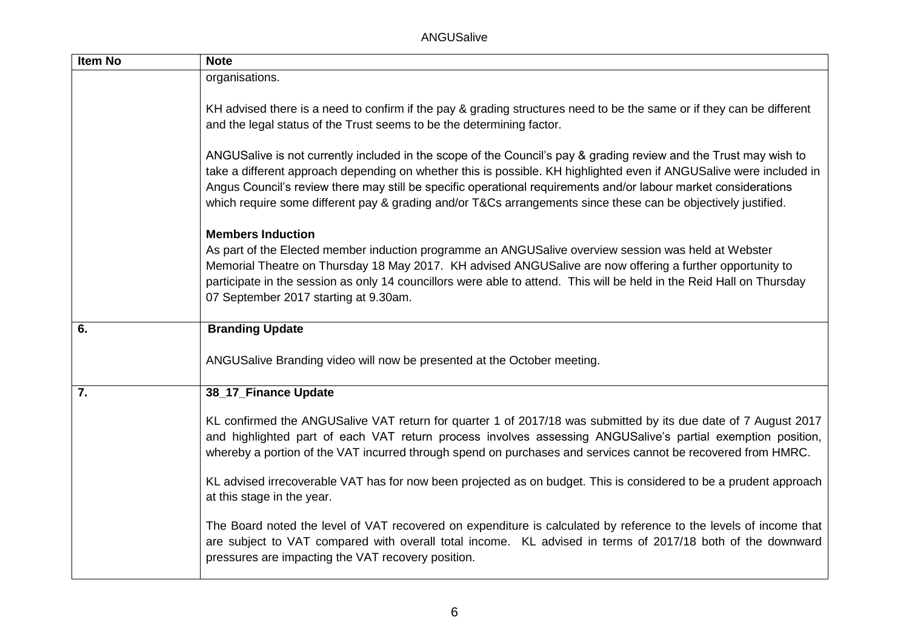ANGUSalive

| <b>Item No</b> | <b>Note</b>                                                                                                                                                                                                                                                                                                                                                                                                                                                                  |
|----------------|------------------------------------------------------------------------------------------------------------------------------------------------------------------------------------------------------------------------------------------------------------------------------------------------------------------------------------------------------------------------------------------------------------------------------------------------------------------------------|
|                | organisations.                                                                                                                                                                                                                                                                                                                                                                                                                                                               |
|                | KH advised there is a need to confirm if the pay & grading structures need to be the same or if they can be different<br>and the legal status of the Trust seems to be the determining factor.                                                                                                                                                                                                                                                                               |
|                | ANGUSalive is not currently included in the scope of the Council's pay & grading review and the Trust may wish to<br>take a different approach depending on whether this is possible. KH highlighted even if ANGUSalive were included in<br>Angus Council's review there may still be specific operational requirements and/or labour market considerations<br>which require some different pay & grading and/or T&Cs arrangements since these can be objectively justified. |
|                | <b>Members Induction</b><br>As part of the Elected member induction programme an ANGUSalive overview session was held at Webster<br>Memorial Theatre on Thursday 18 May 2017. KH advised ANGUSalive are now offering a further opportunity to<br>participate in the session as only 14 councillors were able to attend. This will be held in the Reid Hall on Thursday<br>07 September 2017 starting at 9.30am.                                                              |
| 6.             | <b>Branding Update</b>                                                                                                                                                                                                                                                                                                                                                                                                                                                       |
|                | ANGUSalive Branding video will now be presented at the October meeting.                                                                                                                                                                                                                                                                                                                                                                                                      |
| 7.             | 38_17_Finance Update                                                                                                                                                                                                                                                                                                                                                                                                                                                         |
|                |                                                                                                                                                                                                                                                                                                                                                                                                                                                                              |
|                | KL confirmed the ANGUSalive VAT return for quarter 1 of 2017/18 was submitted by its due date of 7 August 2017<br>and highlighted part of each VAT return process involves assessing ANGUSalive's partial exemption position,<br>whereby a portion of the VAT incurred through spend on purchases and services cannot be recovered from HMRC.                                                                                                                                |
|                | KL advised irrecoverable VAT has for now been projected as on budget. This is considered to be a prudent approach<br>at this stage in the year.                                                                                                                                                                                                                                                                                                                              |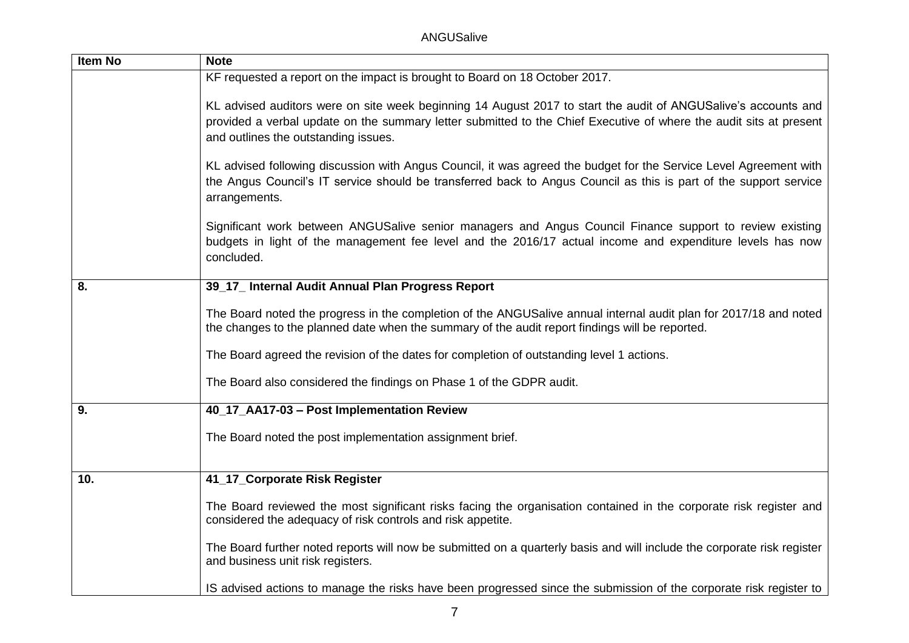ANGUSalive

| <b>Item No</b> | <b>Note</b>                                                                                                                                                                                                                                                                  |
|----------------|------------------------------------------------------------------------------------------------------------------------------------------------------------------------------------------------------------------------------------------------------------------------------|
|                | KF requested a report on the impact is brought to Board on 18 October 2017.                                                                                                                                                                                                  |
|                | KL advised auditors were on site week beginning 14 August 2017 to start the audit of ANGUSalive's accounts and<br>provided a verbal update on the summary letter submitted to the Chief Executive of where the audit sits at present<br>and outlines the outstanding issues. |
|                | KL advised following discussion with Angus Council, it was agreed the budget for the Service Level Agreement with<br>the Angus Council's IT service should be transferred back to Angus Council as this is part of the support service<br>arrangements.                      |
|                | Significant work between ANGUSalive senior managers and Angus Council Finance support to review existing<br>budgets in light of the management fee level and the 2016/17 actual income and expenditure levels has now<br>concluded.                                          |
| 8.             | 39_17_ Internal Audit Annual Plan Progress Report                                                                                                                                                                                                                            |
|                | The Board noted the progress in the completion of the ANGUSalive annual internal audit plan for 2017/18 and noted<br>the changes to the planned date when the summary of the audit report findings will be reported.                                                         |
|                | The Board agreed the revision of the dates for completion of outstanding level 1 actions.                                                                                                                                                                                    |
|                | The Board also considered the findings on Phase 1 of the GDPR audit.                                                                                                                                                                                                         |
| 9.             | 40_17_AA17-03 - Post Implementation Review                                                                                                                                                                                                                                   |
|                | The Board noted the post implementation assignment brief.                                                                                                                                                                                                                    |
| 10.            | 41_17_Corporate Risk Register                                                                                                                                                                                                                                                |
|                | The Board reviewed the most significant risks facing the organisation contained in the corporate risk register and<br>considered the adequacy of risk controls and risk appetite.                                                                                            |
|                | The Board further noted reports will now be submitted on a quarterly basis and will include the corporate risk register<br>and business unit risk registers.                                                                                                                 |
|                | IS advised actions to manage the risks have been progressed since the submission of the corporate risk register to                                                                                                                                                           |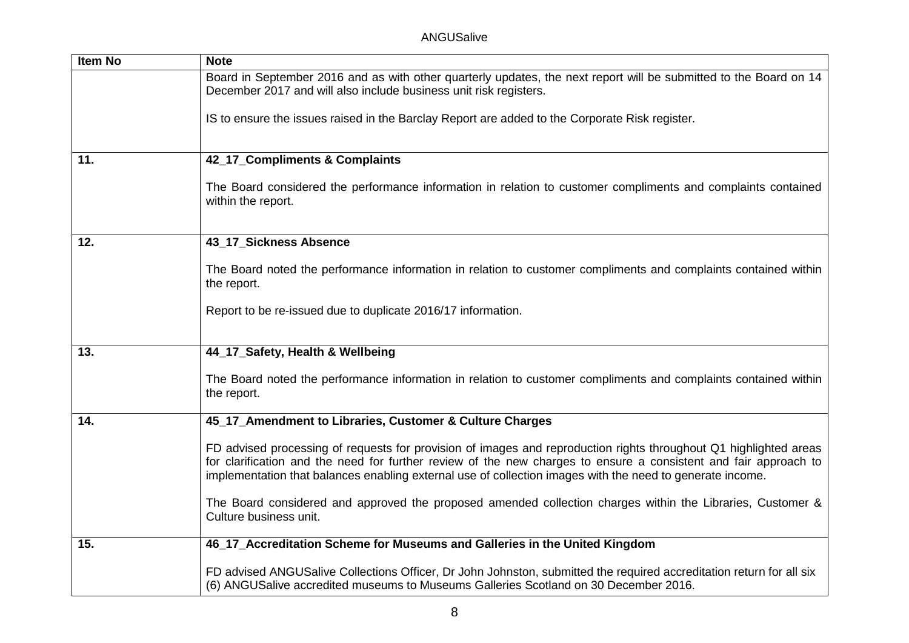| Item No | <b>Note</b>                                                                                                                                                                                                                                                                                                                                        |
|---------|----------------------------------------------------------------------------------------------------------------------------------------------------------------------------------------------------------------------------------------------------------------------------------------------------------------------------------------------------|
|         | Board in September 2016 and as with other quarterly updates, the next report will be submitted to the Board on 14<br>December 2017 and will also include business unit risk registers.                                                                                                                                                             |
|         | IS to ensure the issues raised in the Barclay Report are added to the Corporate Risk register.                                                                                                                                                                                                                                                     |
| 11.     | 42_17_Compliments & Complaints                                                                                                                                                                                                                                                                                                                     |
|         |                                                                                                                                                                                                                                                                                                                                                    |
|         | The Board considered the performance information in relation to customer compliments and complaints contained<br>within the report.                                                                                                                                                                                                                |
|         |                                                                                                                                                                                                                                                                                                                                                    |
| 12.     | 43_17_Sickness Absence                                                                                                                                                                                                                                                                                                                             |
|         | The Board noted the performance information in relation to customer compliments and complaints contained within<br>the report.                                                                                                                                                                                                                     |
|         | Report to be re-issued due to duplicate 2016/17 information.                                                                                                                                                                                                                                                                                       |
|         |                                                                                                                                                                                                                                                                                                                                                    |
|         |                                                                                                                                                                                                                                                                                                                                                    |
| 13.     | 44_17_Safety, Health & Wellbeing                                                                                                                                                                                                                                                                                                                   |
|         | The Board noted the performance information in relation to customer compliments and complaints contained within<br>the report.                                                                                                                                                                                                                     |
| 14.     | 45_17_Amendment to Libraries, Customer & Culture Charges                                                                                                                                                                                                                                                                                           |
|         |                                                                                                                                                                                                                                                                                                                                                    |
|         | FD advised processing of requests for provision of images and reproduction rights throughout Q1 highlighted areas<br>for clarification and the need for further review of the new charges to ensure a consistent and fair approach to<br>implementation that balances enabling external use of collection images with the need to generate income. |
|         | The Board considered and approved the proposed amended collection charges within the Libraries, Customer &<br>Culture business unit.                                                                                                                                                                                                               |
| 15.     | 46_17_Accreditation Scheme for Museums and Galleries in the United Kingdom                                                                                                                                                                                                                                                                         |
|         |                                                                                                                                                                                                                                                                                                                                                    |
|         | FD advised ANGUSalive Collections Officer, Dr John Johnston, submitted the required accreditation return for all six<br>(6) ANGUSalive accredited museums to Museums Galleries Scotland on 30 December 2016.                                                                                                                                       |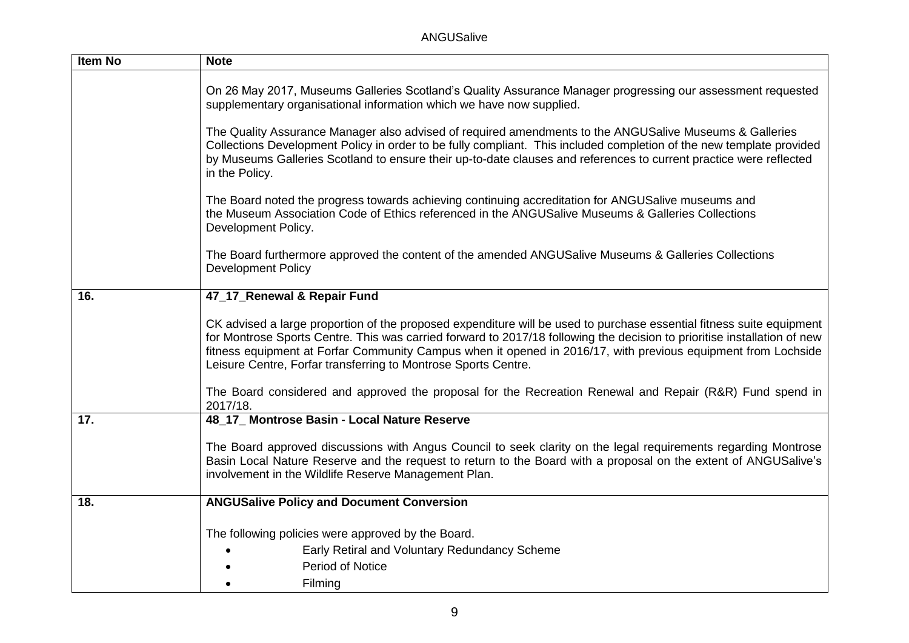| Item No | <b>Note</b>                                                                                                                                                                                                                                                                                                                                                                                                                         |
|---------|-------------------------------------------------------------------------------------------------------------------------------------------------------------------------------------------------------------------------------------------------------------------------------------------------------------------------------------------------------------------------------------------------------------------------------------|
|         | On 26 May 2017, Museums Galleries Scotland's Quality Assurance Manager progressing our assessment requested<br>supplementary organisational information which we have now supplied.                                                                                                                                                                                                                                                 |
|         | The Quality Assurance Manager also advised of required amendments to the ANGUSalive Museums & Galleries<br>Collections Development Policy in order to be fully compliant. This included completion of the new template provided<br>by Museums Galleries Scotland to ensure their up-to-date clauses and references to current practice were reflected<br>in the Policy.                                                             |
|         | The Board noted the progress towards achieving continuing accreditation for ANGUSalive museums and<br>the Museum Association Code of Ethics referenced in the ANGUSalive Museums & Galleries Collections<br>Development Policy.                                                                                                                                                                                                     |
|         | The Board furthermore approved the content of the amended ANGUSalive Museums & Galleries Collections<br><b>Development Policy</b>                                                                                                                                                                                                                                                                                                   |
| 16.     | 47_17_Renewal & Repair Fund                                                                                                                                                                                                                                                                                                                                                                                                         |
|         | CK advised a large proportion of the proposed expenditure will be used to purchase essential fitness suite equipment<br>for Montrose Sports Centre. This was carried forward to 2017/18 following the decision to prioritise installation of new<br>fitness equipment at Forfar Community Campus when it opened in 2016/17, with previous equipment from Lochside<br>Leisure Centre, Forfar transferring to Montrose Sports Centre. |
|         | The Board considered and approved the proposal for the Recreation Renewal and Repair (R&R) Fund spend in<br>2017/18.                                                                                                                                                                                                                                                                                                                |
| 17.     | 48_17_ Montrose Basin - Local Nature Reserve                                                                                                                                                                                                                                                                                                                                                                                        |
|         | The Board approved discussions with Angus Council to seek clarity on the legal requirements regarding Montrose<br>Basin Local Nature Reserve and the request to return to the Board with a proposal on the extent of ANGUSalive's<br>involvement in the Wildlife Reserve Management Plan.                                                                                                                                           |
| 18.     | <b>ANGUSalive Policy and Document Conversion</b>                                                                                                                                                                                                                                                                                                                                                                                    |
|         | The following policies were approved by the Board.                                                                                                                                                                                                                                                                                                                                                                                  |
|         | Early Retiral and Voluntary Redundancy Scheme                                                                                                                                                                                                                                                                                                                                                                                       |
|         | Period of Notice                                                                                                                                                                                                                                                                                                                                                                                                                    |
|         | Filming                                                                                                                                                                                                                                                                                                                                                                                                                             |
|         |                                                                                                                                                                                                                                                                                                                                                                                                                                     |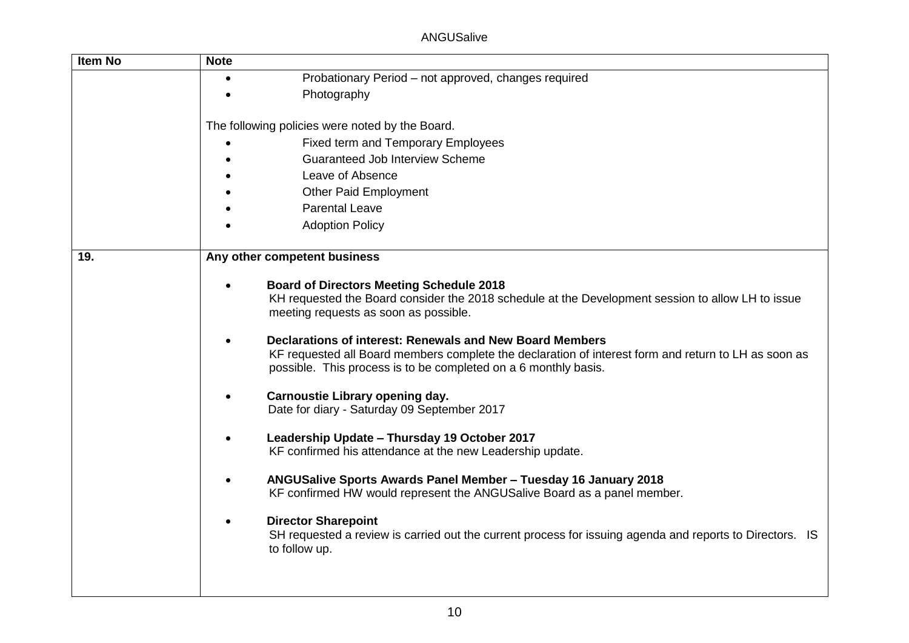ANGUSalive

| <b>Item No</b> | <b>Note</b>                                                                                                                                                                                                                                                                                                                                                                                                                                                                                                                                                                                                                                                                                                                                                                                                                                                                                                                                         |
|----------------|-----------------------------------------------------------------------------------------------------------------------------------------------------------------------------------------------------------------------------------------------------------------------------------------------------------------------------------------------------------------------------------------------------------------------------------------------------------------------------------------------------------------------------------------------------------------------------------------------------------------------------------------------------------------------------------------------------------------------------------------------------------------------------------------------------------------------------------------------------------------------------------------------------------------------------------------------------|
|                | Probationary Period - not approved, changes required                                                                                                                                                                                                                                                                                                                                                                                                                                                                                                                                                                                                                                                                                                                                                                                                                                                                                                |
|                | Photography                                                                                                                                                                                                                                                                                                                                                                                                                                                                                                                                                                                                                                                                                                                                                                                                                                                                                                                                         |
|                | The following policies were noted by the Board.                                                                                                                                                                                                                                                                                                                                                                                                                                                                                                                                                                                                                                                                                                                                                                                                                                                                                                     |
|                | <b>Fixed term and Temporary Employees</b>                                                                                                                                                                                                                                                                                                                                                                                                                                                                                                                                                                                                                                                                                                                                                                                                                                                                                                           |
|                | <b>Guaranteed Job Interview Scheme</b>                                                                                                                                                                                                                                                                                                                                                                                                                                                                                                                                                                                                                                                                                                                                                                                                                                                                                                              |
|                | Leave of Absence                                                                                                                                                                                                                                                                                                                                                                                                                                                                                                                                                                                                                                                                                                                                                                                                                                                                                                                                    |
|                | <b>Other Paid Employment</b>                                                                                                                                                                                                                                                                                                                                                                                                                                                                                                                                                                                                                                                                                                                                                                                                                                                                                                                        |
|                | <b>Parental Leave</b>                                                                                                                                                                                                                                                                                                                                                                                                                                                                                                                                                                                                                                                                                                                                                                                                                                                                                                                               |
|                | <b>Adoption Policy</b>                                                                                                                                                                                                                                                                                                                                                                                                                                                                                                                                                                                                                                                                                                                                                                                                                                                                                                                              |
| 19.            | Any other competent business                                                                                                                                                                                                                                                                                                                                                                                                                                                                                                                                                                                                                                                                                                                                                                                                                                                                                                                        |
|                | <b>Board of Directors Meeting Schedule 2018</b><br>KH requested the Board consider the 2018 schedule at the Development session to allow LH to issue<br>meeting requests as soon as possible.<br>Declarations of interest: Renewals and New Board Members<br>KF requested all Board members complete the declaration of interest form and return to LH as soon as<br>possible. This process is to be completed on a 6 monthly basis.<br><b>Carnoustie Library opening day.</b><br>Date for diary - Saturday 09 September 2017<br>Leadership Update - Thursday 19 October 2017<br>KF confirmed his attendance at the new Leadership update.<br>ANGUSalive Sports Awards Panel Member - Tuesday 16 January 2018<br>KF confirmed HW would represent the ANGUSalive Board as a panel member.<br><b>Director Sharepoint</b><br>SH requested a review is carried out the current process for issuing agenda and reports to Directors. IS<br>to follow up. |